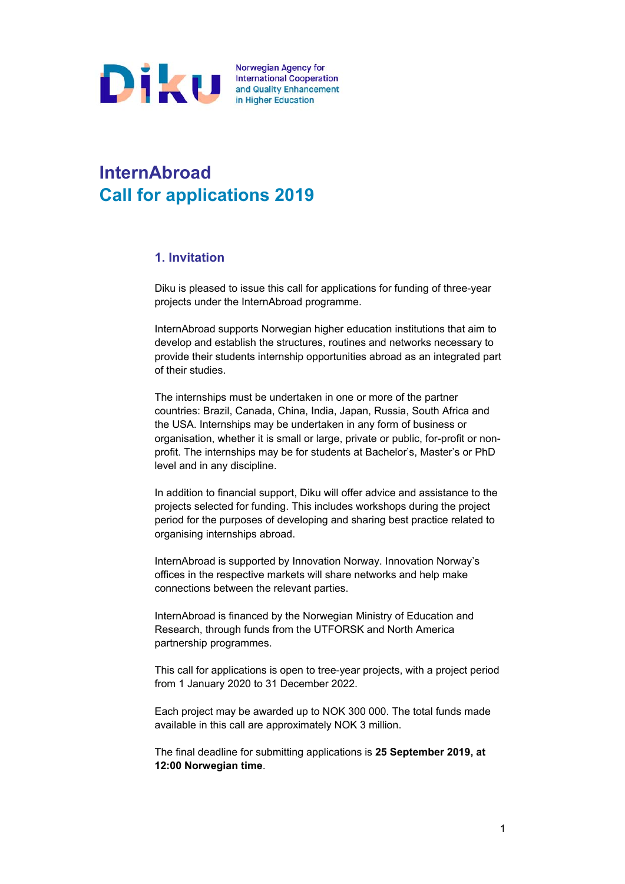

## **InternAbroad Call for applications 2019**

## **1. Invitation**

Diku is pleased to issue this call for applications for funding of three-year projects under the InternAbroad programme.

InternAbroad supports Norwegian higher education institutions that aim to develop and establish the structures, routines and networks necessary to provide their students internship opportunities abroad as an integrated part of their studies.

The internships must be undertaken in one or more of the partner countries: Brazil, Canada, China, India, Japan, Russia, South Africa and the USA. Internships may be undertaken in any form of business or organisation, whether it is small or large, private or public, for-profit or nonprofit. The internships may be for students at Bachelor's, Master's or PhD level and in any discipline.

In addition to financial support, Diku will offer advice and assistance to the projects selected for funding. This includes workshops during the project period for the purposes of developing and sharing best practice related to organising internships abroad.

InternAbroad is supported by Innovation Norway. Innovation Norway's offices in the respective markets will share networks and help make connections between the relevant parties.

InternAbroad is financed by the Norwegian Ministry of Education and Research, through funds from the UTFORSK and North America partnership programmes.

This call for applications is open to tree-year projects, with a project period from 1 January 2020 to 31 December 2022.

Each project may be awarded up to NOK 300 000. The total funds made available in this call are approximately NOK 3 million.

The final deadline for submitting applications is **25 September 2019, at 12:00 Norwegian time**.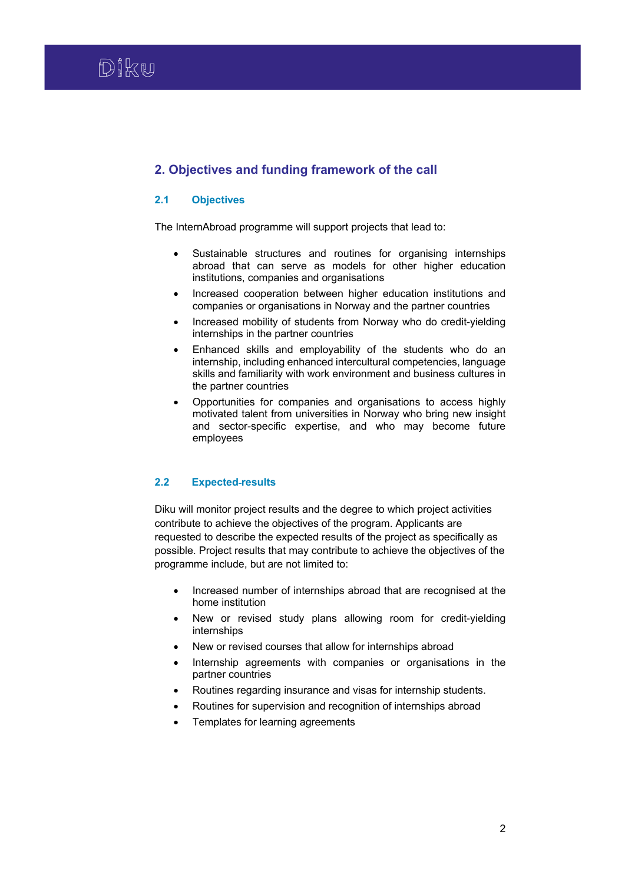## **2. Objectives and funding framework of the call**

## **2.1 Objectives**

The InternAbroad programme will support projects that lead to:

- Sustainable structures and routines for organising internships abroad that can serve as models for other higher education institutions, companies and organisations
- Increased cooperation between higher education institutions and companies or organisations in Norway and the partner countries
- Increased mobility of students from Norway who do credit-yielding internships in the partner countries
- Enhanced skills and employability of the students who do an internship, including enhanced intercultural competencies, language skills and familiarity with work environment and business cultures in the partner countries
- Opportunities for companies and organisations to access highly motivated talent from universities in Norway who bring new insight and sector-specific expertise, and who may become future employees

## **2.2 Expected results**

Diku will monitor project results and the degree to which project activities contribute to achieve the objectives of the program. Applicants are requested to describe the expected results of the project as specifically as possible. Project results that may contribute to achieve the objectives of the programme include, but are not limited to:

- Increased number of internships abroad that are recognised at the home institution
- New or revised study plans allowing room for credit-yielding internships
- New or revised courses that allow for internships abroad
- Internship agreements with companies or organisations in the partner countries
- Routines regarding insurance and visas for internship students.
- Routines for supervision and recognition of internships abroad
- Templates for learning agreements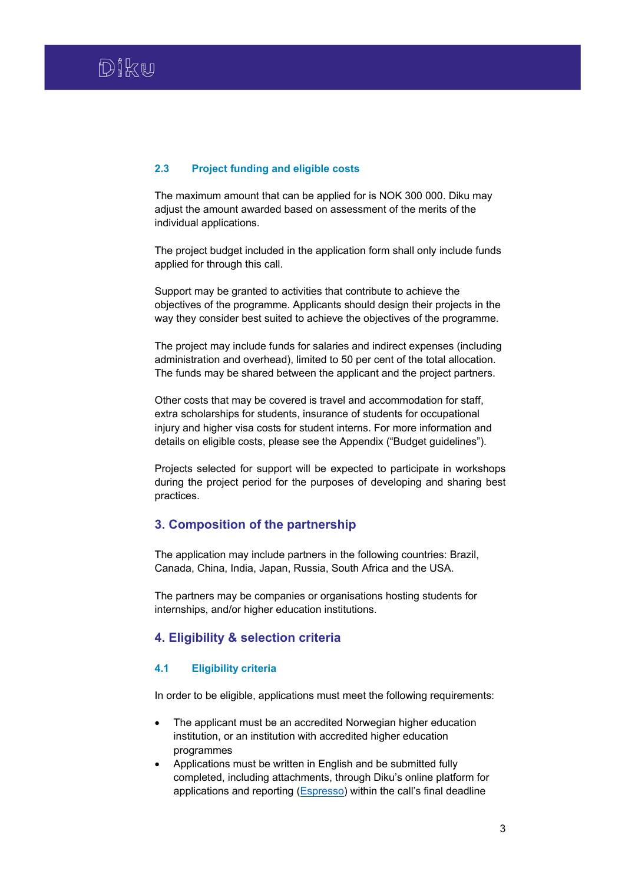#### **2.3 Project funding and eligible costs**

The maximum amount that can be applied for is NOK 300 000. Diku may adjust the amount awarded based on assessment of the merits of the individual applications.

The project budget included in the application form shall only include funds applied for through this call.

Support may be granted to activities that contribute to achieve the objectives of the programme. Applicants should design their projects in the way they consider best suited to achieve the objectives of the programme.

The project may include funds for salaries and indirect expenses (including administration and overhead), limited to 50 per cent of the total allocation. The funds may be shared between the applicant and the project partners.

Other costs that may be covered is travel and accommodation for staff, extra scholarships for students, insurance of students for occupational injury and higher visa costs for student interns. For more information and details on eligible costs, please see the Appendix ("Budget guidelines").

Projects selected for support will be expected to participate in workshops during the project period for the purposes of developing and sharing best practices.

## **3. Composition of the partnership**

The application may include partners in the following countries: Brazil, Canada, China, India, Japan, Russia, South Africa and the USA.

The partners may be companies or organisations hosting students for internships, and/or higher education institutions.

## **4. Eligibility & selection criteria**

## **4.1 Eligibility criteria**

In order to be eligible, applications must meet the following requirements:

- The applicant must be an accredited Norwegian higher education institution, or an institution with accredited higher education programmes
- Applications must be written in English and be submitted fully completed, including attachments, through Diku's online platform for applications and reporting (**Espresso**) within the call's final deadline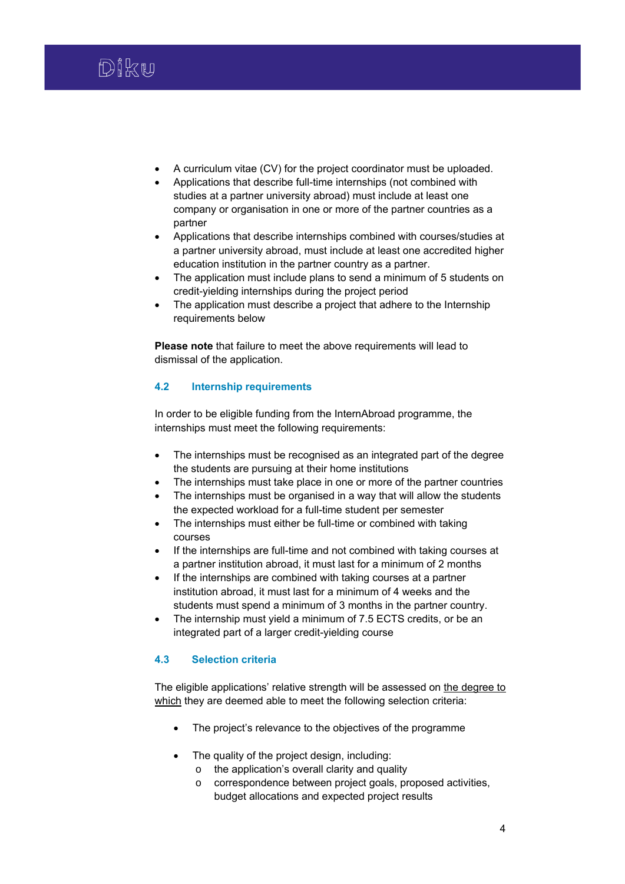

- A curriculum vitae (CV) for the project coordinator must be uploaded.
- Applications that describe full-time internships (not combined with studies at a partner university abroad) must include at least one company or organisation in one or more of the partner countries as a partner
- Applications that describe internships combined with courses/studies at a partner university abroad, must include at least one accredited higher education institution in the partner country as a partner.
- The application must include plans to send a minimum of 5 students on credit-yielding internships during the project period
- The application must describe a project that adhere to the Internship requirements below

**Please note** that failure to meet the above requirements will lead to dismissal of the application.

## **4.2 Internship requirements**

In order to be eligible funding from the InternAbroad programme, the internships must meet the following requirements:

- The internships must be recognised as an integrated part of the degree the students are pursuing at their home institutions
- The internships must take place in one or more of the partner countries
- The internships must be organised in a way that will allow the students the expected workload for a full-time student per semester
- The internships must either be full-time or combined with taking courses
- If the internships are full-time and not combined with taking courses at a partner institution abroad, it must last for a minimum of 2 months
- If the internships are combined with taking courses at a partner institution abroad, it must last for a minimum of 4 weeks and the students must spend a minimum of 3 months in the partner country.
- The internship must yield a minimum of 7.5 ECTS credits, or be an integrated part of a larger credit-yielding course

## **4.3 Selection criteria**

The eligible applications' relative strength will be assessed on the degree to which they are deemed able to meet the following selection criteria:

- The project's relevance to the objectives of the programme
- The quality of the project design, including:
	- o the application's overall clarity and quality
	- o correspondence between project goals, proposed activities, budget allocations and expected project results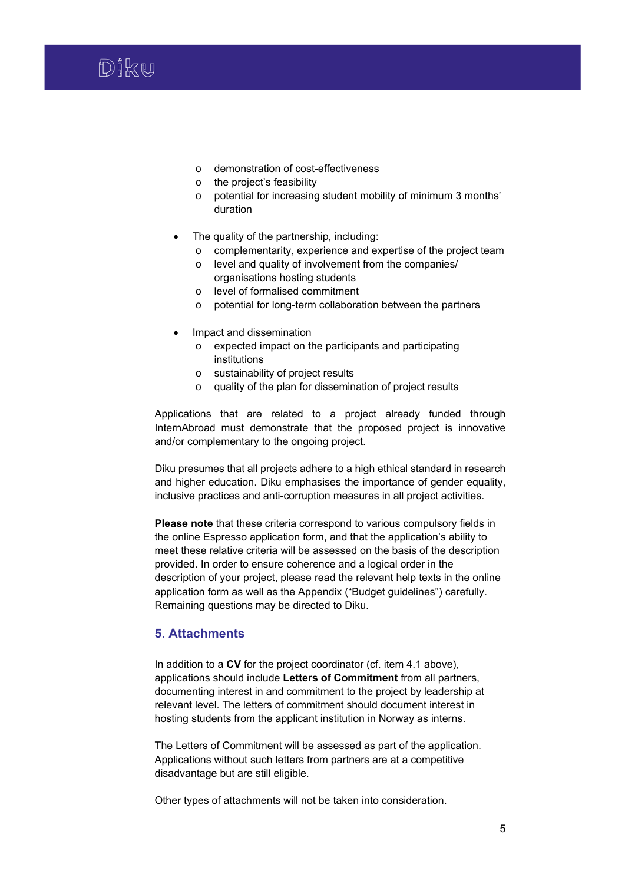

- o demonstration of cost-effectiveness
- o the project's feasibility
- o potential for increasing student mobility of minimum 3 months' duration
- The quality of the partnership, including:
	- o complementarity, experience and expertise of the project team
	- o level and quality of involvement from the companies/ organisations hosting students
	- o level of formalised commitment
	- o potential for long-term collaboration between the partners
- Impact and dissemination
	- o expected impact on the participants and participating institutions
	- o sustainability of project results
	- o quality of the plan for dissemination of project results

Applications that are related to a project already funded through InternAbroad must demonstrate that the proposed project is innovative and/or complementary to the ongoing project.

Diku presumes that all projects adhere to a high ethical standard in research and higher education. Diku emphasises the importance of gender equality, inclusive practices and anti-corruption measures in all project activities.

**Please note** that these criteria correspond to various compulsory fields in the online Espresso application form, and that the application's ability to meet these relative criteria will be assessed on the basis of the description provided. In order to ensure coherence and a logical order in the description of your project, please read the relevant help texts in the online application form as well as the Appendix ("Budget guidelines") carefully. Remaining questions may be directed to Diku.

#### **5. Attachments**

In addition to a **CV** for the project coordinator (cf. item 4.1 above), applications should include **Letters of Commitment** from all partners, documenting interest in and commitment to the project by leadership at relevant level. The letters of commitment should document interest in hosting students from the applicant institution in Norway as interns.

The Letters of Commitment will be assessed as part of the application. Applications without such letters from partners are at a competitive disadvantage but are still eligible.

Other types of attachments will not be taken into consideration.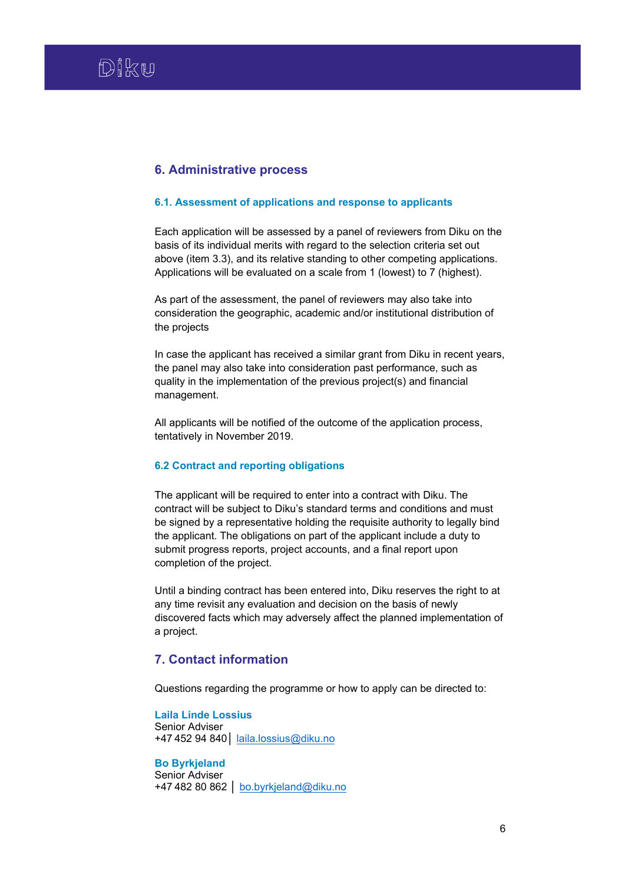## **6. Administrative process**

#### **6.1. Assessment of applications and response to applicants**

Each application will be assessed by a panel of reviewers from Diku on the basis of its individual merits with regard to the selection criteria set out above (item 3.3), and its relative standing to other competing applications. Applications will be evaluated on a scale from 1 (lowest) to 7 (highest).

As part of the assessment, the panel of reviewers may also take into consideration the geographic, academic and/or institutional distribution of the projects

In case the applicant has received a similar grant from Diku in recent years, the panel may also take into consideration past performance, such as quality in the implementation of the previous project(s) and financial management.

All applicants will be notified of the outcome of the application process, tentatively in November 2019.

## **6.2 Contract and reporting obligations**

The applicant will be required to enter into a contract with Diku. The contract will be subject to Diku's standard terms and conditions and must be signed by a representative holding the requisite authority to legally bind the applicant. The obligations on part of the applicant include a duty to submit progress reports, project accounts, and a final report upon completion of the project.

Until a binding contract has been entered into, Diku reserves the right to at any time revisit any evaluation and decision on the basis of newly discovered facts which may adversely affect the planned implementation of a project.

## **7. Contact information**

Questions regarding the programme or how to apply can be directed to:

**Laila Linde Lossius** Senior Adviser +47 452 94 840│ laila.lossius@diku.no

**Bo Byrkjeland** Senior Adviser +47 482 80 862 │ bo.byrkjeland@diku.no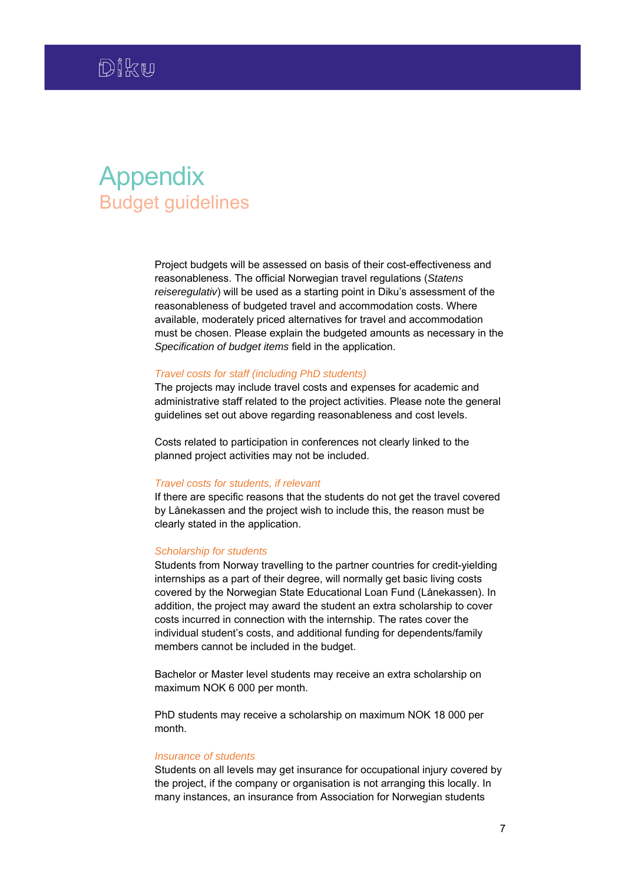# Appendix Budget guidelines

Project budgets will be assessed on basis of their cost-effectiveness and reasonableness. The official Norwegian travel regulations (*Statens reiseregulativ*) will be used as a starting point in Diku's assessment of the reasonableness of budgeted travel and accommodation costs. Where available, moderately priced alternatives for travel and accommodation must be chosen. Please explain the budgeted amounts as necessary in the *Specification of budget items* field in the application.

#### *Travel costs for staff (including PhD students)*

The projects may include travel costs and expenses for academic and administrative staff related to the project activities. Please note the general guidelines set out above regarding reasonableness and cost levels.

Costs related to participation in conferences not clearly linked to the planned project activities may not be included.

#### *Travel costs for students, if relevant*

If there are specific reasons that the students do not get the travel covered by Lånekassen and the project wish to include this, the reason must be clearly stated in the application.

#### *Scholarship for students*

Students from Norway travelling to the partner countries for credit-yielding internships as a part of their degree, will normally get basic living costs covered by the Norwegian State Educational Loan Fund (Lånekassen). In addition, the project may award the student an extra scholarship to cover costs incurred in connection with the internship. The rates cover the individual student's costs, and additional funding for dependents/family members cannot be included in the budget.

Bachelor or Master level students may receive an extra scholarship on maximum NOK 6 000 per month.

PhD students may receive a scholarship on maximum NOK 18 000 per month.

#### *Insurance of students*

Students on all levels may get insurance for occupational injury covered by the project, if the company or organisation is not arranging this locally. In many instances, an insurance from Association for Norwegian students